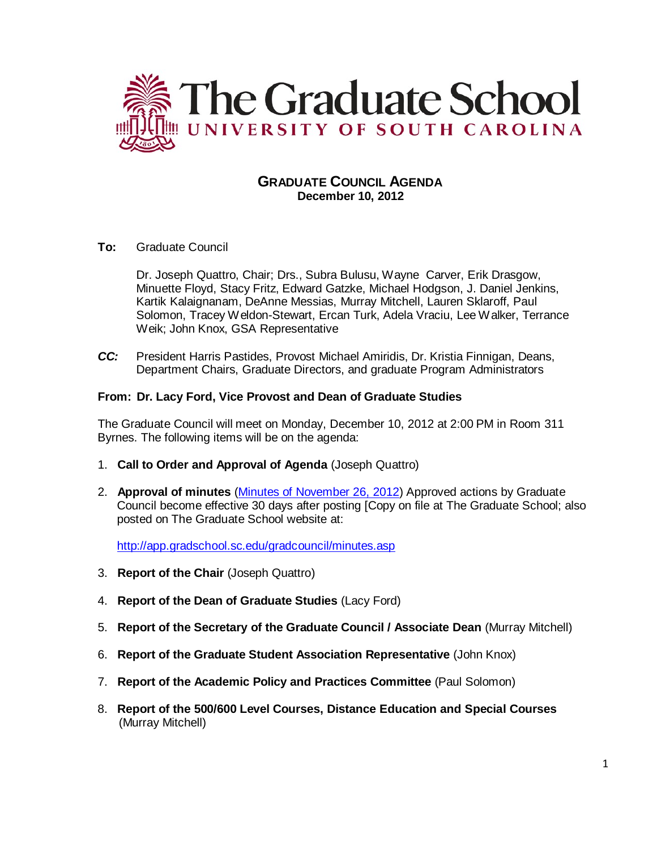

# **GRADUATE COUNCIL AGENDA December 10, 2012**

## **To:** Graduate Council

Dr. Joseph Quattro, Chair; Drs., Subra Bulusu, Wayne Carver, Erik Drasgow, Minuette Floyd, Stacy Fritz, Edward Gatzke, Michael Hodgson, J. Daniel Jenkins, Kartik Kalaignanam, DeAnne Messias, Murray Mitchell, Lauren Sklaroff, Paul Solomon, Tracey Weldon-Stewart, Ercan Turk, Adela Vraciu, Lee Walker, Terrance Weik; John Knox, GSA Representative

*CC:* President Harris Pastides, Provost Michael Amiridis, Dr. Kristia Finnigan, Deans, Department Chairs, Graduate Directors, and graduate Program Administrators

## **From: Dr. Lacy Ford, Vice Provost and Dean of Graduate Studies**

The Graduate Council will meet on Monday, December 10, 2012 at 2:00 PM in Room 311 Byrnes. The following items will be on the agenda:

- 1. **Call to Order and Approval of Agenda** (Joseph Quattro)
- 2. **Approval of minutes** (Minutes of [November 26,](http://gradschool.sc.edu/facstaff/gradcouncil/2012/GCMinutes%20November%2026%202012.pdf) 2012) Approved actions by Graduate Council become effective 30 days after posting [Copy on file at The Graduate School; also posted on The Graduate School website at:

<http://app.gradschool.sc.edu/gradcouncil/minutes.asp>

- 3. **Report of the Chair** (Joseph Quattro)
- 4. **Report of the Dean of Graduate Studies** (Lacy Ford)
- 5. **Report of the Secretary of the Graduate Council / Associate Dean** (Murray Mitchell)
- 6. **Report of the Graduate Student Association Representative** (John Knox)
- 7. **Report of the Academic Policy and Practices Committee** (Paul Solomon)
- 8. **Report of the 500/600 Level Courses, Distance Education and Special Courses**  (Murray Mitchell)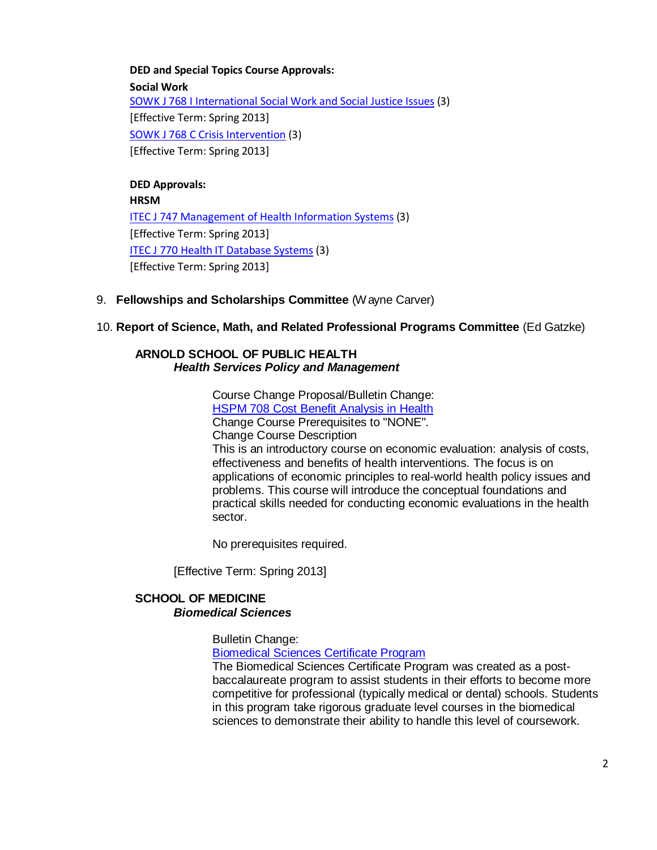#### **DED and Special Topics Course Approvals:**

**Social Work** [SOWK J 768 I International Social Work and Social Justice Issues](http://gradschool.sc.edu/facstaff/gradcouncil/2012/SOWK%20J%20768%20I%20International%20Social%20Work%20and%20Social%20Justice%20Issues%20STC%20DED_Redacted.pdf) (3) [Effective Term: Spring 2013] [SOWK J 768 C Crisis Intervention](http://gradschool.sc.edu/facstaff/gradcouncil/2012/SOWK%20J%20768%20C%20Crisis%20Intervention%20STC%20DED_Redacted.pdf) (3) [Effective Term: Spring 2013]

**DED Approvals: HRSM** [ITEC J 747 Management of Health Information Systems](http://gradschool.sc.edu/facstaff/gradcouncil/2012/DEDITEC747_201241_Redacted.pdf) (3) [Effective Term: Spring 2013] [ITEC J 770 Health IT Database Systems](http://gradschool.sc.edu/facstaff/gradcouncil/2012/DEDITEC770_201241_Redacted.pdf) (3) [Effective Term: Spring 2013]

9. **Fellowships and Scholarships Committee** (Wayne Carver)

## 10. **Report of Science, Math, and Related Professional Programs Committee** (Ed Gatzke)

## **ARNOLD SCHOOL OF PUBLIC HEALTH** *Health Services Policy and Management*

Course Change Proposal/Bulletin Change: HSPM 708 Cost [Benefit Analysis](http://gradschool.sc.edu/facstaff/gradcouncil/2012/HSPM%20708%20Cost%20Benefit%20Analysis%20in%20Health%20CCP%2020121121_Redacted.pdf) in Health Change Course Prerequisites to "NONE". Change Course Description This is an introductory course on economic evaluation: analysis of costs, effectiveness and benefits of health interventions. The focus is on applications of economic principles to real-world health policy issues and problems. This course will introduce the conceptual foundations and practical skills needed for conducting economic evaluations in the health sector.

No prerequisites required.

[Effective Term: Spring 2013]

#### **SCHOOL OF MEDICINE** *Biomedical Sciences*

Bulletin Change:

[Biomedical Sciences](http://gradschool.sc.edu/facstaff/gradcouncil/2012/School%20of%20Medicine%20Biomedical%20Sciences%20BCH_Redacted.pdf) Certificate Program

The Biomedical Sciences Certificate Program was created as a postbaccalaureate program to assist students in their efforts to become more competitive for professional (typically medical or dental) schools. Students in this program take rigorous graduate level courses in the biomedical sciences to demonstrate their ability to handle this level of coursework.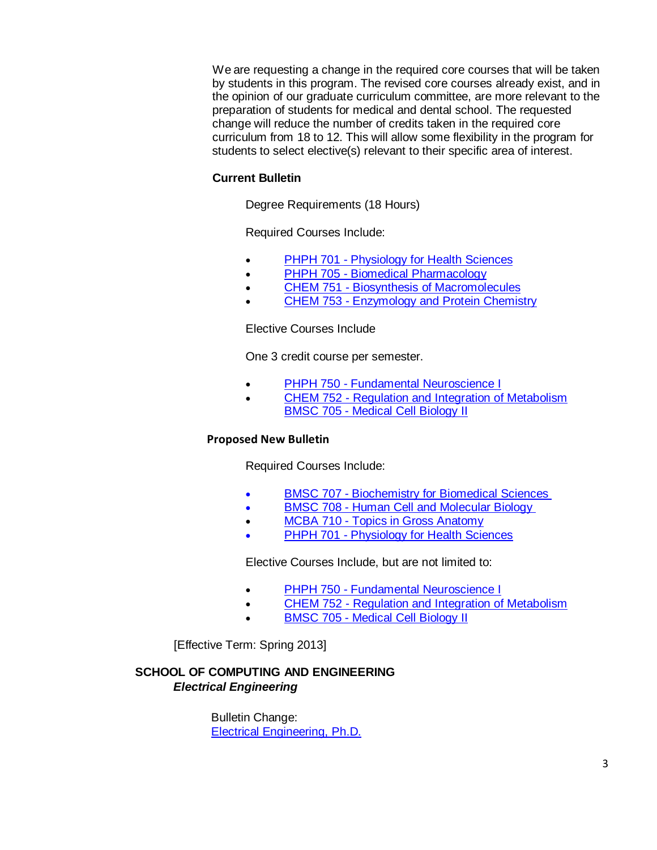We are requesting a change in the required core courses that will be taken by students in this program. The revised core courses already exist, and in the opinion of our graduate curriculum committee, are more relevant to the preparation of students for medical and dental school. The requested change will reduce the number of credits taken in the required core curriculum from 18 to 12. This will allow some flexibility in the program for students to select elective(s) relevant to their specific area of interest.

#### **Current Bulletin**

Degree Requirements (18 Hours)

Required Courses Include:

- PHPH 701 [Physiology for Health Sciences](http://bulletin.sc.edu/preview_course_nopop.php?catoid=35&coid=76625)
- PHPH 705 Biomedical [Pharmacology](http://bulletin.sc.edu/preview_course_nopop.php?catoid=35&coid=76627)
- CHEM 751 [Biosynthesis of Macromolecules](http://bulletin.sc.edu/preview_course_nopop.php?catoid=35&coid=71590)
- CHEM 753 [Enzymology and Protein Chemistry](http://bulletin.sc.edu/preview_course_nopop.php?catoid=35&coid=71592)

Elective Courses Include

One 3 credit course per semester.

- PHPH 750 [Fundamental Neuroscience I](http://bulletin.sc.edu/preview_course_nopop.php?catoid=35&coid=76637)
- CHEM 752 [Regulation and Integration of Metabolism](http://bulletin.sc.edu/preview_course_nopop.php?catoid=35&coid=71591) BMSC 705 - [Medical Cell Biology II](http://bulletin.sc.edu/preview_course_nopop.php?catoid=35&coid=71473)

#### **Proposed New Bulletin**

Required Courses Include:

- BMSC 707 [Biochemistry for Biomedical Sciences](http://bulletin.sc.edu/preview_course_nopop.php?catoid=35&coid=76625)
- BMSC 708 [Human Cell and Molecular Biology](http://bulletin.sc.edu/preview_course_nopop.php?catoid=35&coid=71476)
- **MCBA 710 [Topics in Gross Anatomy](http://bulletin.sc.edu/search_advanced.php?cur_cat_oid=35&search_database=Search&search_db=Search&cpage=1&ecpage=1&ppage=1&spage=1&tpage=1&location=3&filter%5Bkeyword%5D=MCBA+710)**
- PHPH 701 [Physiology for Health Sciences](http://bulletin.sc.edu/search_advanced.php?cur_cat_oid=35&search_database=Search&search_db=Search&cpage=1&ecpage=1&ppage=1&spage=1&tpage=1&location=3&filter%5Bkeyword%5D=PHPH+701)

Elective Courses Include, but are not limited to:

- **PHPH 750 [Fundamental Neuroscience I](http://bulletin.sc.edu/preview_course_nopop.php?catoid=35&coid=76637)**
- CHEM 752 [Regulation and Integration of Metabolism](http://bulletin.sc.edu/preview_course_nopop.php?catoid=35&coid=71591)
- BMSC 705 [Medical Cell Biology II](http://bulletin.sc.edu/preview_course_nopop.php?catoid=35&coid=71473)

[Effective Term: Spring 2013]

# **SCHOOL OF COMPUTING AND ENGINEERING** *Electrical Engineering*

Bulletin Change: [Electrical Engineering,](http://gradschool.sc.edu/facstaff/gradcouncil/2012/11%206%2012%20EE%20Bulletin%20Change%20Form_Redacted.pdf) Ph.D.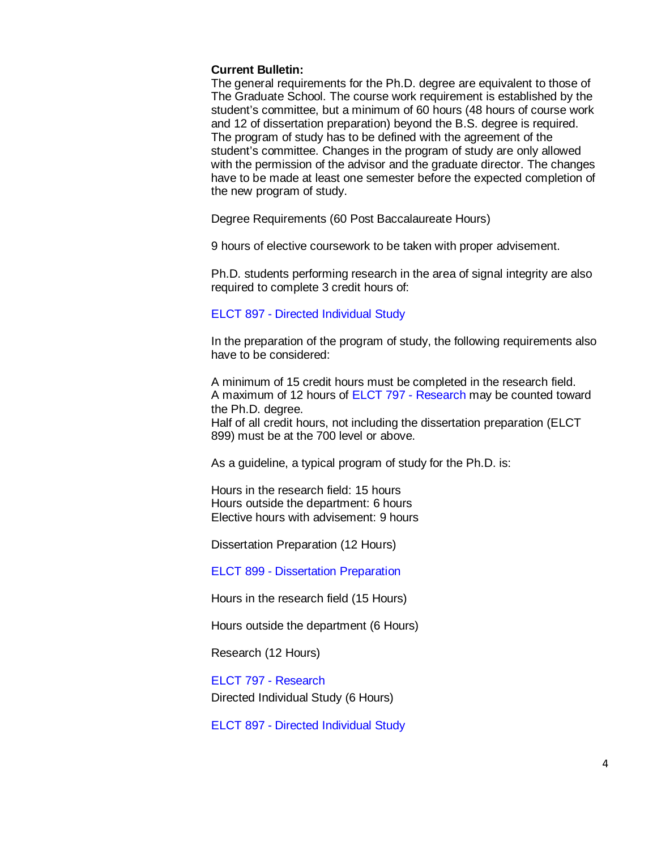#### **Current Bulletin:**

The general requirements for the Ph.D. degree are equivalent to those of The Graduate School. The course work requirement is established by the student's committee, but a minimum of 60 hours (48 hours of course work and 12 of dissertation preparation) beyond the B.S. degree is required. The program of study has to be defined with the agreement of the student's committee. Changes in the program of study are only allowed with the permission of the advisor and the graduate director. The changes have to be made at least one semester before the expected completion of the new program of study.

Degree Requirements (60 Post Baccalaureate Hours)

9 hours of elective coursework to be taken with proper advisement.

Ph.D. students performing research in the area of signal integrity are also required to complete 3 credit hours of:

#### ELCT 897 - Directed [Individual Study](http://bulletin.sc.edu/preview_course_nopop.php?catoid=35&coid=73140)

In the preparation of the program of study, the following requirements also have to be considered:

A minimum of 15 credit hours must be completed in the research field. A maximum of 12 hours of ELCT 797 - [Research](http://bulletin.sc.edu/preview_course_nopop.php?catoid=9&coid=51503) may be counted toward the Ph.D. degree.

Half of all credit hours, not including the dissertation preparation (ELCT 899) must be at the 700 level or above.

As a guideline, a typical program of study for the Ph.D. is:

Hours in the research field: 15 hours Hours outside the department: 6 hours Elective hours with advisement: 9 hours

Dissertation Preparation (12 Hours)

ELCT 899 - Dissertation [Preparation](http://bulletin.sc.edu/preview_course_nopop.php?catoid=35&coid=73141) 

Hours in the research field (15 Hours)

Hours outside the department (6 Hours)

Research (12 Hours)

ELCT 797 - [Research](http://bulletin.sc.edu/preview_course_nopop.php?catoid=35&coid=73120) Directed Individual Study (6 Hours)

ELCT 897 - Directed [Individual Study](http://bulletin.sc.edu/preview_course_nopop.php?catoid=35&coid=73140)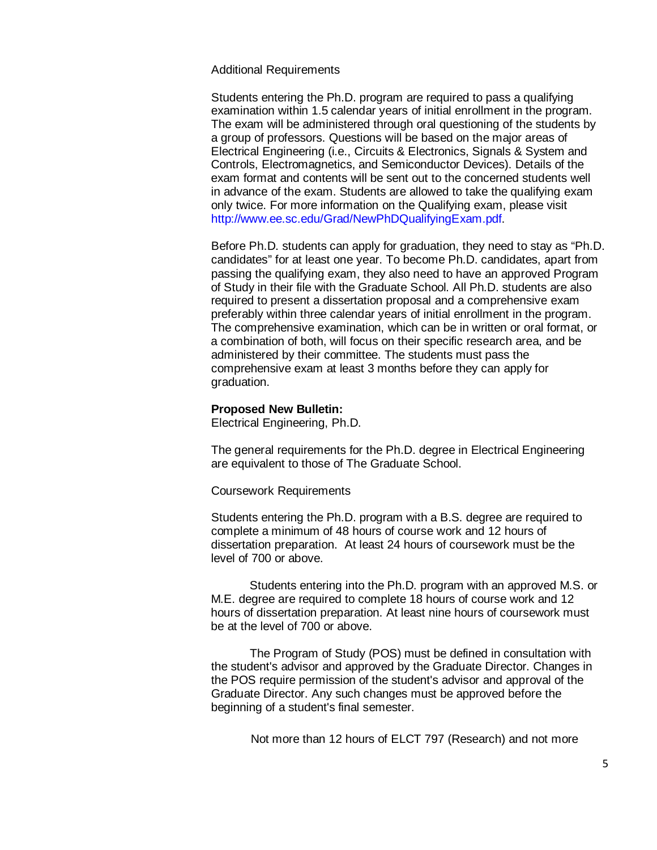Additional Requirements

Students entering the Ph.D. program are required to pass a qualifying examination within 1.5 calendar years of initial enrollment in the program. The exam will be administered through oral questioning of the students by a group of professors. Questions will be based on the major areas of Electrical Engineering (i.e., Circuits & Electronics, Signals & System and Controls, Electromagnetics, and Semiconductor Devices). Details of the exam format and contents will be sent out to the concerned students well in advance of the exam. Students are allowed to take the qualifying exam only twice. For more information on the Qualifying exam, please visit [http://www.ee.sc.edu/Grad/NewPhDQualifyingExam.pdf.](http://www.ee.sc.edu/Grad/NewPhDQualifyingExam.pdf)

Before Ph.D. students can apply for graduation, they need to stay as "Ph.D. candidates" for at least one year. To become Ph.D. candidates, apart from passing the qualifying exam, they also need to have an approved Program of Study in their file with the Graduate School. All Ph.D. students are also required to present a dissertation proposal and a comprehensive exam preferably within three calendar years of initial enrollment in the program. The comprehensive examination, which can be in written or oral format, or a combination of both, will focus on their specific research area, and be administered by their committee. The students must pass the comprehensive exam at least 3 months before they can apply for graduation.

#### **Proposed New Bulletin:**

Electrical Engineering, Ph.D.

The general requirements for the Ph.D. degree in Electrical Engineering are equivalent to those of The Graduate School.

Coursework Requirements

Students entering the Ph.D. program with a B.S. degree are required to complete a minimum of 48 hours of course work and 12 hours of dissertation preparation. At least 24 hours of coursework must be the level of 700 or above.

Students entering into the Ph.D. program with an approved M.S. or M.E. degree are required to complete 18 hours of course work and 12 hours of dissertation preparation. At least nine hours of coursework must be at the level of 700 or above.

The Program of Study (POS) must be defined in consultation with the student's advisor and approved by the Graduate Director. Changes in the POS require permission of the student's advisor and approval of the Graduate Director. Any such changes must be approved before the beginning of a student's final semester.

Not more than 12 hours of ELCT 797 (Research) and not more